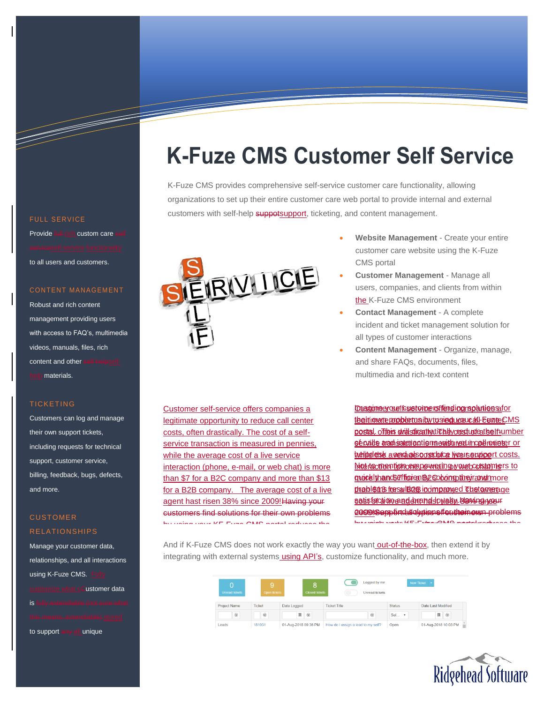# **K-Fuze CMS Customer Self Service**

K-Fuze CMS provides comprehensive self-service customer care functionality, allowing organizations to set up their entire customer care web portal to provide internal and external customers with self-help suppotsupport, ticketing, and content management.



Customer self-service offers companies a legitimate opportunity to reduce call center costs, often drastically. The cost of a selfservice transaction is measured in pennies, while the average cost of a live service interaction (phone, e-mail, or web chat) is more than \$7 for a B2C company and more than \$13 for a B2B company. The average cost of a live agent hast risen 38% since 2009! Having your customers find solutions for their own problems by using your KF-Fuze CMS portal reduces the

- **Website Management** Create your entire customer care website using the K-Fuze CMS portal
- **Customer Management** Manage all users, companies, and clients from within the K-Fuze CMS environment
- **Contact Management** A complete incident and ticket management solution for all types of customer interactions
- **Content Management** Organize, manage, and share FAQs, documents, files, multimedia and rich-text content

**Imagineer our files storice reffers in an analysis companies a companies solutions of companies solutions** their inverte propher to a by to sing your call center CMS postal. ofteis will stirent a tich by crest under the inumber sé calle anachisatetraction ne est meat in call mainter or helpdesk a verdages oo stoloog ive use upport costs. hinterfaction fichoerepe-wearing wour bootstaming is to more than \$7 for an B2S compt and more problems resulting in improved The average satisfaction and dorahdslowatm. Having nosur 2000 Support all the solutions of cultions and problems by using the channel partners of the channel partners of the position of the channel partners of the channel of<br>Internal reduces the channel partners of the channel partners of the channel partners of the channel of the ch

And if K-Fuze CMS does not work exactly the way you want out-of-the-box, then extend it by integrating with external systems<u> using API's</u>, customize functionality, and much more.

| <b>Unread tickets</b> | g,<br>Open tickets | $\overline{8}$<br><b>Closed tickets</b> | Logged by me<br>$\bullet$<br>Unread tickets |               | New Ticket -         |
|-----------------------|--------------------|-----------------------------------------|---------------------------------------------|---------------|----------------------|
| <b>Project Name</b>   | <b>Ticket</b>      | Date Logged                             | <b>Ticket Title</b>                         | <b>Status</b> | Date Last Modified   |
| $\odot$               | $\odot$            | 图 ⊙                                     | $\odot$                                     | Sel <b>v</b>  | $\Box$               |
| Leads                 | 181931             | 01-Aug-2018 09:36 PM                    | How do I assign a lead to my self?          | Open          | 01-Aug-2018 10:03 PM |



### **FULL SERVICE**

Provide full-rich custom care to all users and customers.

#### CONTENT MANAGEMENT

Robust and rich content management providing users with access to FAQ's, multimedia videos, manuals, files, rich content and other materials.

#### TICKETING

Customers can log and manage their own support tickets, including requests for technical support, customer service, billing, feedback, bugs, defects, and more.

## **CUSTOMER** RELATIONSHIPS

Manage your customer data, relationships, and all interactions using K-Fuze CMS. **Lustomer data** is fully extendiable (not sure what

to support any all unique